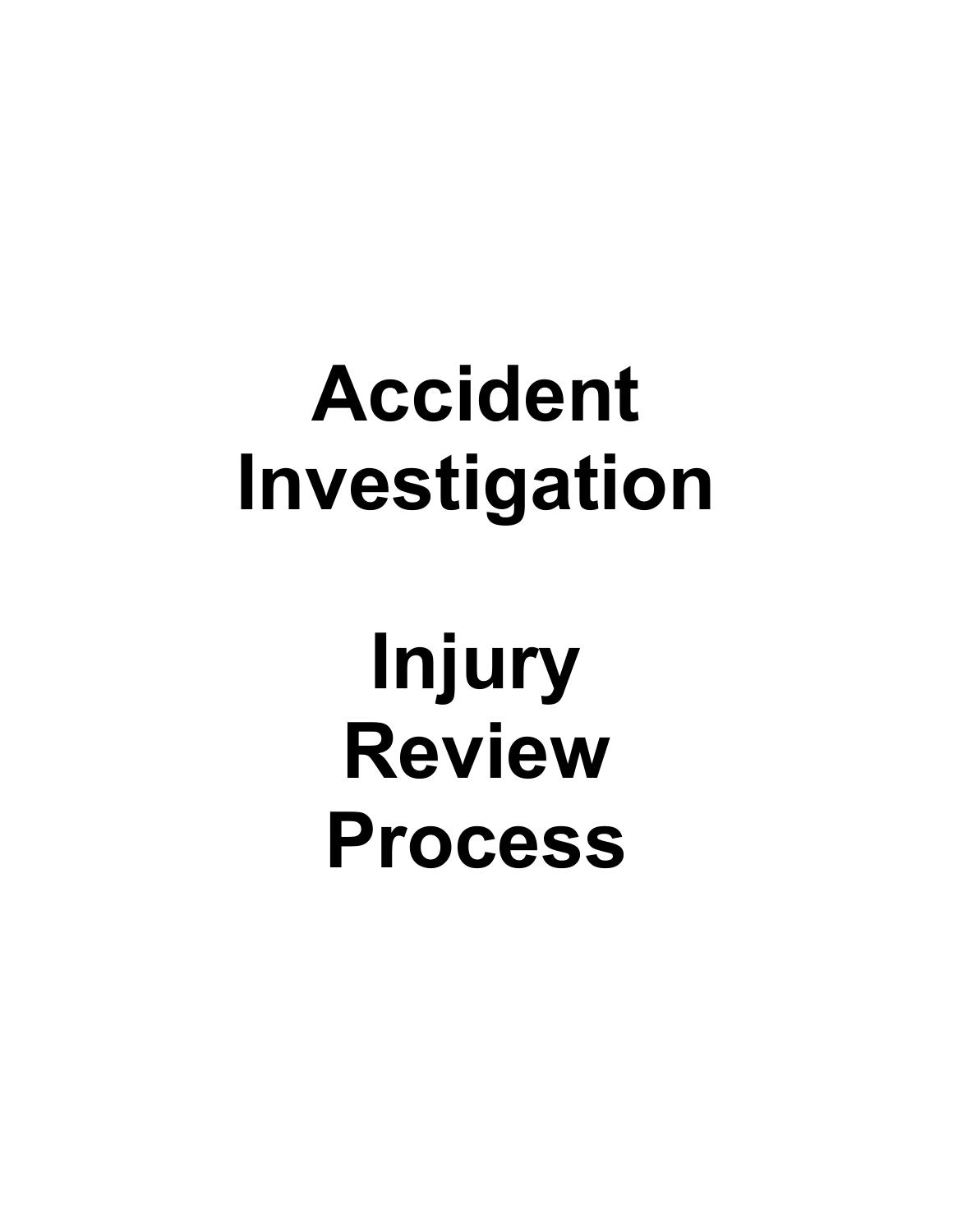# **Accident Investigation**

**Injury Review Process**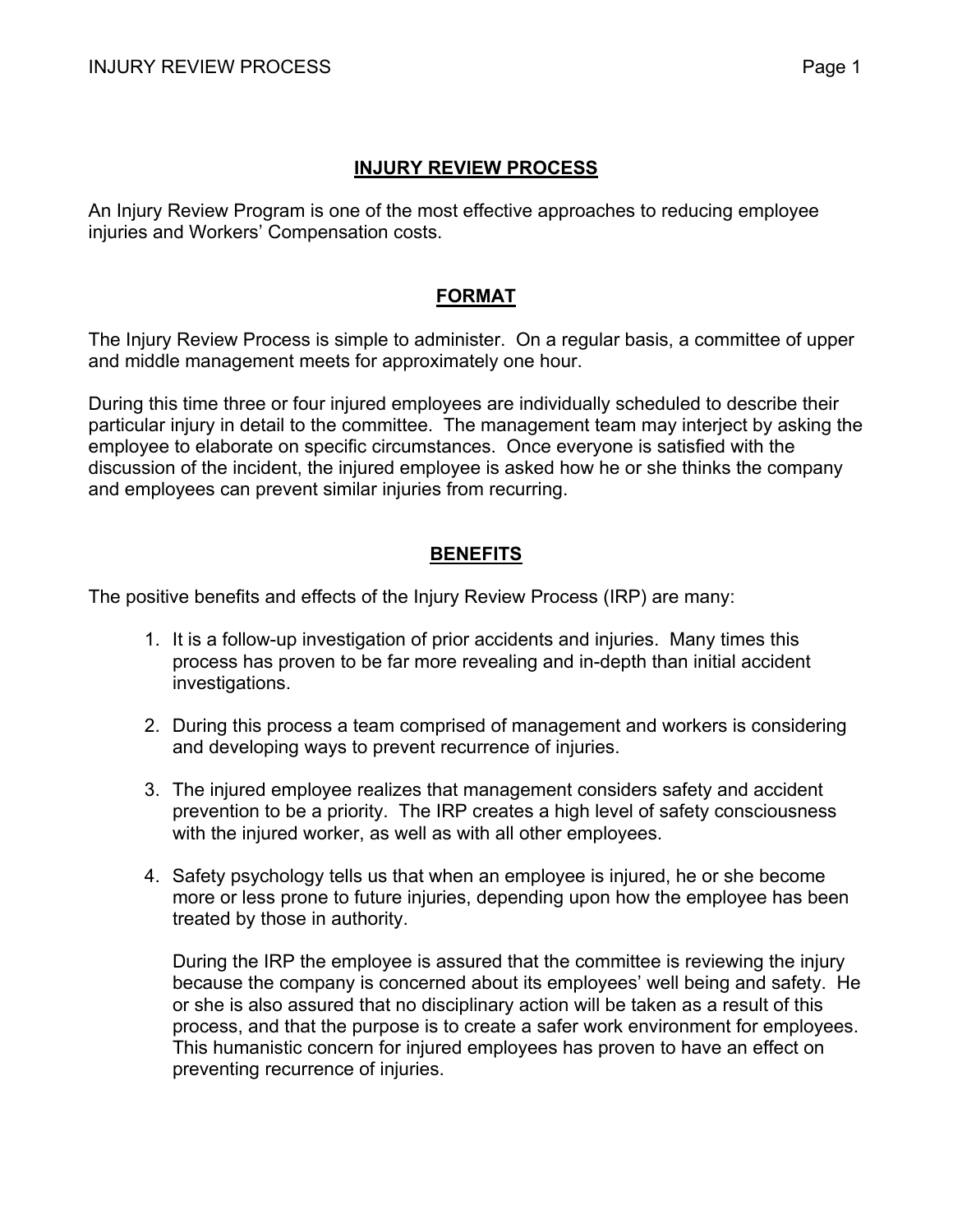## **INJURY REVIEW PROCESS**

An Injury Review Program is one of the most effective approaches to reducing employee injuries and Workers' Compensation costs.

## **FORMAT**

The Injury Review Process is simple to administer. On a regular basis, a committee of upper and middle management meets for approximately one hour.

During this time three or four injured employees are individually scheduled to describe their particular injury in detail to the committee. The management team may interject by asking the employee to elaborate on specific circumstances. Once everyone is satisfied with the discussion of the incident, the injured employee is asked how he or she thinks the company and employees can prevent similar injuries from recurring.

## **BENEFITS**

The positive benefits and effects of the Injury Review Process (IRP) are many:

- 1. It is a follow-up investigation of prior accidents and injuries. Many times this process has proven to be far more revealing and in-depth than initial accident investigations.
- 2. During this process a team comprised of management and workers is considering and developing ways to prevent recurrence of injuries.
- 3. The injured employee realizes that management considers safety and accident prevention to be a priority. The IRP creates a high level of safety consciousness with the injured worker, as well as with all other employees.
- 4. Safety psychology tells us that when an employee is injured, he or she become more or less prone to future injuries, depending upon how the employee has been treated by those in authority.

During the IRP the employee is assured that the committee is reviewing the injury because the company is concerned about its employees' well being and safety. He or she is also assured that no disciplinary action will be taken as a result of this process, and that the purpose is to create a safer work environment for employees. This humanistic concern for injured employees has proven to have an effect on preventing recurrence of injuries.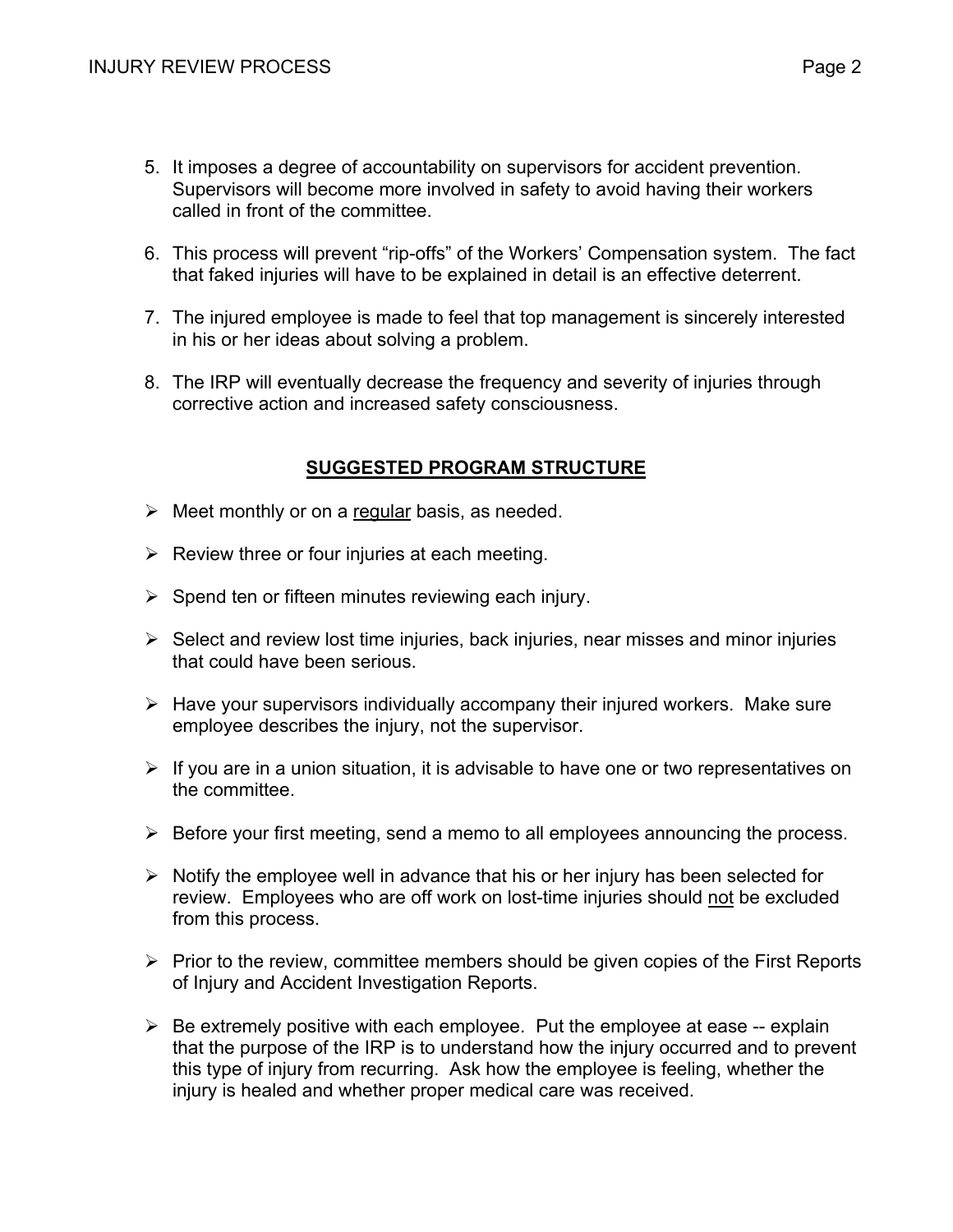- 5. It imposes a degree of accountability on supervisors for accident prevention. Supervisors will become more involved in safety to avoid having their workers called in front of the committee.
- 6. This process will prevent "rip-offs" of the Workers' Compensation system. The fact that faked injuries will have to be explained in detail is an effective deterrent.
- 7. The injured employee is made to feel that top management is sincerely interested in his or her ideas about solving a problem.
- 8. The IRP will eventually decrease the frequency and severity of injuries through corrective action and increased safety consciousness.

## **SUGGESTED PROGRAM STRUCTURE**

- $\triangleright$  Meet monthly or on a regular basis, as needed.
- $\triangleright$  Review three or four injuries at each meeting.
- $\triangleright$  Spend ten or fifteen minutes reviewing each injury.
- $\triangleright$  Select and review lost time injuries, back injuries, near misses and minor injuries that could have been serious.
- $\triangleright$  Have your supervisors individually accompany their injured workers. Make sure employee describes the injury, not the supervisor.
- $\triangleright$  If you are in a union situation, it is advisable to have one or two representatives on the committee.
- $\triangleright$  Before your first meeting, send a memo to all employees announcing the process.
- $\triangleright$  Notify the employee well in advance that his or her injury has been selected for review. Employees who are off work on lost-time injuries should not be excluded from this process.
- $\triangleright$  Prior to the review, committee members should be given copies of the First Reports of Injury and Accident Investigation Reports.
- $\triangleright$  Be extremely positive with each employee. Put the employee at ease -- explain that the purpose of the IRP is to understand how the injury occurred and to prevent this type of injury from recurring. Ask how the employee is feeling, whether the injury is healed and whether proper medical care was received.